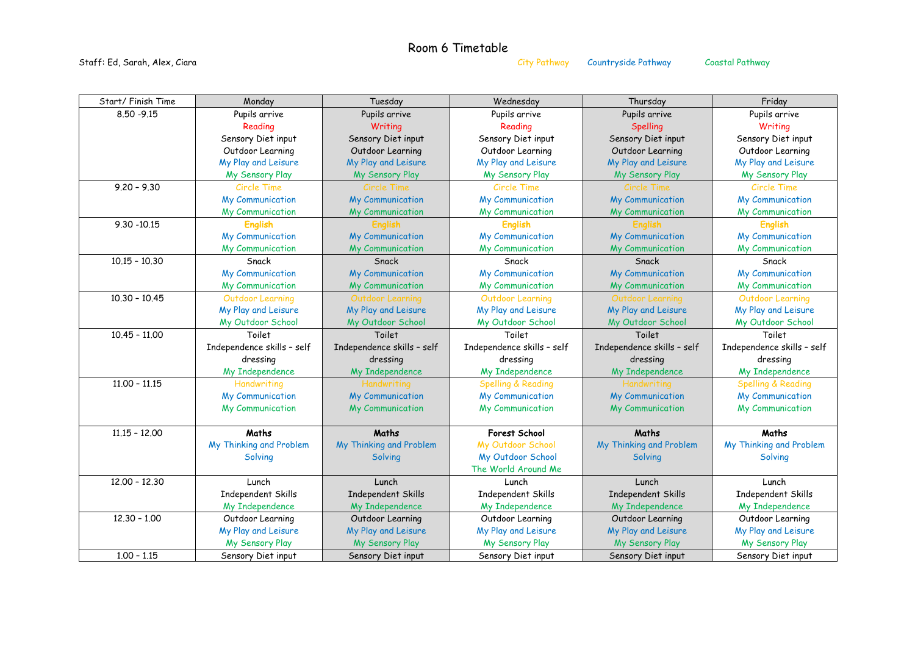Staff: Ed, Sarah, Alex, Ciara City Pathway Countryside Pathway Countryside Pathway Countryside Pathway Constal Pathway

## Room 6 Timetable

| Start/Finish Time | Monday                     | Tuesday                    | Wednesday                     | Thursday                   | Friday                        |
|-------------------|----------------------------|----------------------------|-------------------------------|----------------------------|-------------------------------|
| $8.50 - 9.15$     | Pupils arrive              | Pupils arrive              | Pupils arrive                 | Pupils arrive              | Pupils arrive                 |
|                   | Reading                    | Writing                    | Reading                       | Spelling                   | Writing                       |
|                   | Sensory Diet input         | Sensory Diet input         | Sensory Diet input            | Sensory Diet input         | Sensory Diet input            |
|                   | Outdoor Learning           | Outdoor Learning           | Outdoor Learning              | Outdoor Learning           | Outdoor Learning              |
|                   | My Play and Leisure        | My Play and Leisure        | My Play and Leisure           | My Play and Leisure        | My Play and Leisure           |
|                   | My Sensory Play            | My Sensory Play            | My Sensory Play               | My Sensory Play            | My Sensory Play               |
| $9.20 - 9.30$     | <b>Circle Time</b>         | Circle Time                | Circle Time                   | Circle Time                | Circle Time                   |
|                   | <b>My Communication</b>    | <b>My Communication</b>    | <b>My Communication</b>       | <b>My Communication</b>    | My Communication              |
|                   | My Communication           | My Communication           | My Communication              | My Communication           | My Communication              |
| $9.30 - 10.15$    | <b>English</b>             | <b>English</b>             | <b>English</b>                | <b>English</b>             | <b>English</b>                |
|                   | My Communication           | My Communication           | My Communication              | My Communication           | My Communication              |
|                   | My Communication           | My Communication           | My Communication              | My Communication           | My Communication              |
| $10.15 - 10.30$   | Snack                      | Snack                      | Snack                         | Snack                      | Snack                         |
|                   | <b>My Communication</b>    | <b>My Communication</b>    | My Communication              | <b>My Communication</b>    | My Communication              |
|                   | My Communication           | My Communication           | My Communication              | My Communication           | My Communication              |
| $10.30 - 10.45$   | <b>Outdoor Learning</b>    | Outdoor Learning           | <b>Outdoor Learning</b>       | Outdoor Learning           | Outdoor Learning              |
|                   | My Play and Leisure        | My Play and Leisure        | My Play and Leisure           | My Play and Leisure        | My Play and Leisure           |
|                   | My Outdoor School          | My Outdoor School          | My Outdoor School             | My Outdoor School          | My Outdoor School             |
|                   |                            |                            |                               |                            |                               |
| $10.45 - 11.00$   | Toilet                     | Toilet                     | Toilet                        | Toilet                     | Toilet                        |
|                   | Independence skills - self | Independence skills - self | Independence skills - self    | Independence skills - self | Independence skills - self    |
|                   | dressing                   | dressing                   | dressing                      | dressing                   | dressing                      |
|                   | My Independence            | My Independence            | My Independence               | My Independence            | My Independence               |
| $11.00 - 11.15$   | Handwriting                | Handwriting                | <b>Spelling &amp; Reading</b> | Handwriting                | <b>Spelling &amp; Reading</b> |
|                   | My Communication           | My Communication           | My Communication              | My Communication           | My Communication              |
|                   | My Communication           | My Communication           | My Communication              | My Communication           | My Communication              |
|                   |                            |                            |                               |                            |                               |
| $11.15 - 12.00$   | Maths                      | Maths                      | Forest School                 | Maths                      | Maths                         |
|                   | My Thinking and Problem    | My Thinking and Problem    | My Outdoor School             | My Thinking and Problem    | My Thinking and Problem       |
|                   | Solving                    | Solving                    | My Outdoor School             | Solving                    | Solving                       |
|                   |                            |                            | The World Around Me           |                            |                               |
| $12.00 - 12.30$   | Lunch                      | Lunch                      | Lunch                         | Lunch                      | Lunch                         |
|                   | Independent Skills         | Independent Skills         | Independent Skills            | Independent Skills         | Independent Skills            |
|                   | My Independence            | My Independence            | My Independence               | My Independence            | My Independence               |
| $12.30 - 1.00$    | Outdoor Learning           | Outdoor Learning           | Outdoor Learning              | Outdoor Learning           | Outdoor Learning              |
|                   | My Play and Leisure        | My Play and Leisure        | My Play and Leisure           | My Play and Leisure        | My Play and Leisure           |
|                   | My Sensory Play            | My Sensory Play            | My Sensory Play               | My Sensory Play            | My Sensory Play               |